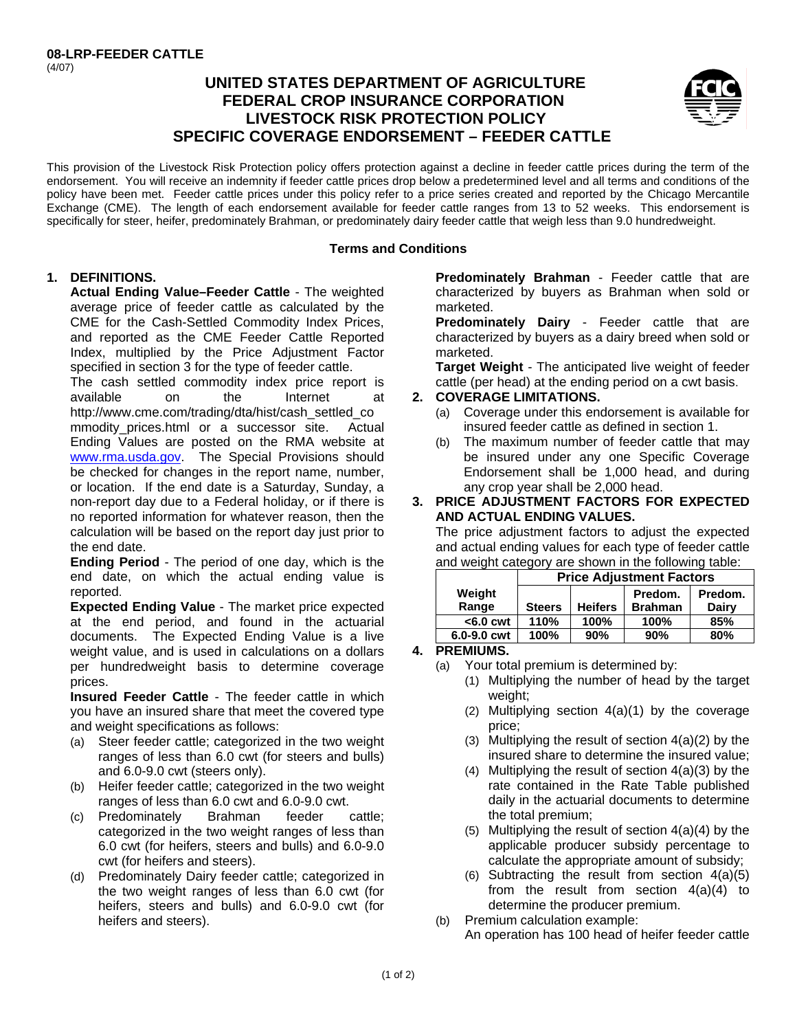# **UNITED STATES DEPARTMENT OF AGRICULTURE FEDERAL CROP INSURANCE CORPORATION LIVESTOCK RISK PROTECTION POLICY SPECIFIC COVERAGE ENDORSEMENT – FEEDER CATTLE**



This provision of the Livestock Risk Protection policy offers protection against a decline in feeder cattle prices during the term of the endorsement. You will receive an indemnity if feeder cattle prices drop below a predetermined level and all terms and conditions of the policy have been met. Feeder cattle prices under this policy refer to a price series created and reported by the Chicago Mercantile Exchange (CME). The length of each endorsement available for feeder cattle ranges from 13 to 52 weeks. This endorsement is specifically for steer, heifer, predominately Brahman, or predominately dairy feeder cattle that weigh less than 9.0 hundredweight.

## **Terms and Conditions**

# **1. DEFINITIONS.**

**Actual Ending Value–Feeder Cattle** - The weighted average price of feeder cattle as calculated by the CME for the Cash-Settled Commodity Index Prices, and reported as the CME Feeder Cattle Reported Index, multiplied by the Price Adjustment Factor specified in section 3 for the type of feeder cattle.

www.rma.usda.gov. The Special Provisions should The cash settled commodity index price report is available on the Internet at http://www.cme.com/trading/dta/hist/cash\_settled\_co mmodity\_prices.html or a successor site. Actual Ending Values are posted on the RMA website at be checked for changes in the report name, number, or location. If the end date is a Saturday, Sunday, a non-report day due to a Federal holiday, or if there is no reported information for whatever reason, then the calculation will be based on the report day just prior to the end date.

**Ending Period** - The period of one day, which is the end date, on which the actual ending value is reported.

**Expected Ending Value** - The market price expected at the end period, and found in the actuarial documents. The Expected Ending Value is a live weight value, and is used in calculations on a dollars per hundredweight basis to determine coverage prices.

**Insured Feeder Cattle** - The feeder cattle in which you have an insured share that meet the covered type and weight specifications as follows:

- (a) Steer feeder cattle; categorized in the two weight ranges of less than 6.0 cwt (for steers and bulls) and 6.0-9.0 cwt (steers only).
- (b) Heifer feeder cattle; categorized in the two weight ranges of less than 6.0 cwt and 6.0-9.0 cwt.
- (c) Predominately Brahman feeder cattle; categorized in the two weight ranges of less than 6.0 cwt (for heifers, steers and bulls) and 6.0-9.0 cwt (for heifers and steers).
- (d) Predominately Dairy feeder cattle; categorized in the two weight ranges of less than 6.0 cwt (for heifers, steers and bulls) and 6.0-9.0 cwt (for heifers and steers).

**Predominately Brahman** - Feeder cattle that are characterized by buyers as Brahman when sold or marketed.

**Predominately Dairy** - Feeder cattle that are characterized by buyers as a dairy breed when sold or marketed.

**Target Weight** - The anticipated live weight of feeder cattle (per head) at the ending period on a cwt basis.

## **2. COVERAGE LIMITATIONS.**

- (a) Coverage under this endorsement is available for insured feeder cattle as defined in section 1.
- (b) The maximum number of feeder cattle that may be insured under any one Specific Coverage Endorsement shall be 1,000 head, and during any crop year shall be 2,000 head.

## **3. PRICE ADJUSTMENT FACTORS FOR EXPECTED AND ACTUAL ENDING VALUES.**

The price adjustment factors to adjust the expected and actual ending values for each type of feeder cattle and weight category are shown in the following table:

|             | <b>Price Adjustment Factors</b> |                |                |         |
|-------------|---------------------------------|----------------|----------------|---------|
| Weight      |                                 |                | Predom.        | Predom. |
| Range       | <b>Steers</b>                   | <b>Heifers</b> | <b>Brahman</b> | Dairy   |
| $< 6.0$ cwt | 110%                            | 100%           | 100%           | 85%     |
| 6.0-9.0 cwt | 100%                            | 90%            | 90%            | 80%     |

## **4. PREMIUMS.**

- (a) Your total premium is determined by:
	- (1) Multiplying the number of head by the target weight;
	- (2) Multiplying section 4(a)(1) by the coverage price;
	- (3) Multiplying the result of section 4(a)(2) by the insured share to determine the insured value;
	- (4) Multiplying the result of section 4(a)(3) by the rate contained in the Rate Table published daily in the actuarial documents to determine the total premium;
	- (5) Multiplying the result of section 4(a)(4) by the applicable producer subsidy percentage to calculate the appropriate amount of subsidy;
	- (6) Subtracting the result from section  $4(a)(5)$ from the result from section 4(a)(4) to determine the producer premium.
- (b) Premium calculation example: An operation has 100 head of heifer feeder cattle